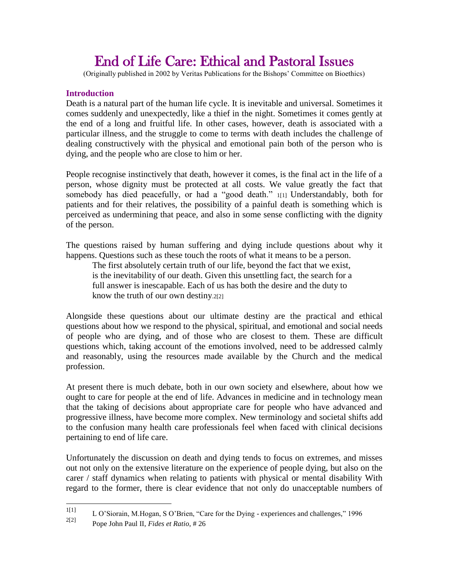# End of Life Care: Ethical and Pastoral Issues

(Originally published in 2002 by Veritas Publications for the Bishops' Committee on Bioethics)

# **Introduction**

Death is a natural part of the human life cycle. It is inevitable and universal. Sometimes it comes suddenly and unexpectedly, like a thief in the night. Sometimes it comes gently at the end of a long and fruitful life. In other cases, however, death is associated with a particular illness, and the struggle to come to terms with death includes the challenge of dealing constructively with the physical and emotional pain both of the person who is dying, and the people who are close to him or her.

People recognise instinctively that death, however it comes, is the final act in the life of a person, whose dignity must be protected at all costs. We value greatly the fact that somebody has died peacefully, or had a "good death." 1[1] Understandably, both for patients and for their relatives, the possibility of a painful death is something which is perceived as undermining that peace, and also in some sense conflicting with the dignity of the person.

The questions raised by human suffering and dying include questions about why it happens. Questions such as these touch the roots of what it means to be a person.

The first absolutely certain truth of our life, beyond the fact that we exist, is the inevitability of our death. Given this unsettling fact, the search for a full answer is inescapable. Each of us has both the desire and the duty to know the truth of our own destiny.2[2]

Alongside these questions about our ultimate destiny are the practical and ethical questions about how we respond to the physical, spiritual, and emotional and social needs of people who are dying, and of those who are closest to them. These are difficult questions which, taking account of the emotions involved, need to be addressed calmly and reasonably, using the resources made available by the Church and the medical profession.

At present there is much debate, both in our own society and elsewhere, about how we ought to care for people at the end of life. Advances in medicine and in technology mean that the taking of decisions about appropriate care for people who have advanced and progressive illness, have become more complex. New terminology and societal shifts add to the confusion many health care professionals feel when faced with clinical decisions pertaining to end of life care.

Unfortunately the discussion on death and dying tends to focus on extremes, and misses out not only on the extensive literature on the experience of people dying, but also on the carer / staff dynamics when relating to patients with physical or mental disability With regard to the former, there is clear evidence that not only do unacceptable numbers of

 $1[1]$ <sup>1[1]</sup> L O'Siorain, M.Hogan, S O'Brien, "Care for the Dying - experiences and challenges," 1996<br><sup>2[2]</sup> Pene John Boul II, Fides at Batis, #26

<sup>2[2]</sup> Pope John Paul II, *Fides et Ratio*, # 26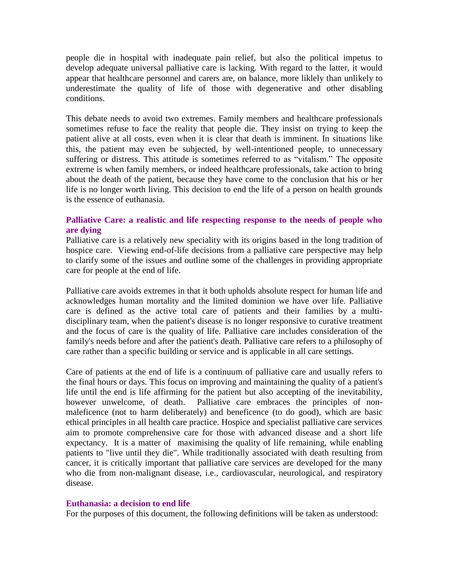people die in hospital with inadequate pain relief, but also the political impetus to develop adequate universal palliative care is lacking. With regard to the latter, it would appear that healthcare personnel and carers are, on balance, more liklely than unlikely to underestimate the quality of life of those with degenerative and other disabling conditions.

This debate needs to avoid two extremes. Family members and healthcare professionals sometimes refuse to face the reality that people die. They insist on trying to keep the patient alive at all costs, even when it is clear that death is imminent. In situations like this, the patient may even be subjected, by well-intentioned people, to unnecessary suffering or distress. This attitude is sometimes referred to as "vitalism." The opposite extreme is when family members, or indeed healthcare professionals, take action to bring about the death of the patient, because they have come to the conclusion that his or her life is no longer worth living. This decision to end the life of a person on health grounds is the essence of euthanasia.

## **Palliative Care: a realistic and life respecting response to the needs of people who are dying**

Palliative care is a relatively new speciality with its origins based in the long tradition of hospice care. Viewing end-of-life decisions from a palliative care perspective may help to clarify some of the issues and outline some of the challenges in providing appropriate care for people at the end of life.

Palliative care avoids extremes in that it both upholds absolute respect for human life and acknowledges human mortality and the limited dominion we have over life. Palliative care is defined as the active total care of patients and their families by a multidisciplinary team, when the patient's disease is no longer responsive to curative treatment and the focus of care is the quality of life. Palliative care includes consideration of the family's needs before and after the patient's death. Palliative care refers to a philosophy of care rather than a specific building or service and is applicable in all care settings.

Care of patients at the end of life is a continuum of palliative care and usually refers to the final hours or days. This focus on improving and maintaining the quality of a patient's life until the end is life affirming for the patient but also accepting of the inevitability, however unwelcome, of death. Palliative care embraces the principles of nonmaleficence (not to harm deliberately) and beneficence (to do good), which are basic ethical principles in all health care practice. Hospice and specialist palliative care services aim to promote comprehensive care for those with advanced disease and a short life expectancy. It is a matter of maximising the quality of life remaining, while enabling patients to "live until they die". While traditionally associated with death resulting from cancer, it is critically important that palliative care services are developed for the many who die from non-malignant disease, i.e., cardiovascular, neurological, and respiratory disease.

## **Euthanasia: a decision to end life**

For the purposes of this document, the following definitions will be taken as understood: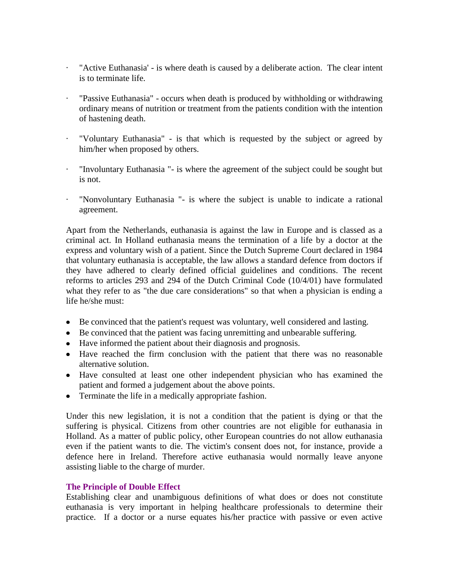- · "Active Euthanasia' is where death is caused by a deliberate action. The clear intent is to terminate life.
- · "Passive Euthanasia" occurs when death is produced by withholding or withdrawing ordinary means of nutrition or treatment from the patients condition with the intention of hastening death.
- · "Voluntary Euthanasia" is that which is requested by the subject or agreed by him/her when proposed by others.
- · "Involuntary Euthanasia "- is where the agreement of the subject could be sought but is not.
- · "Nonvoluntary Euthanasia "- is where the subject is unable to indicate a rational agreement.

Apart from the Netherlands, euthanasia is against the law in Europe and is classed as a criminal act. In Holland euthanasia means the termination of a life by a doctor at the express and voluntary wish of a patient. Since the Dutch Supreme Court declared in 1984 that voluntary euthanasia is acceptable, the law allows a standard defence from doctors if they have adhered to clearly defined official guidelines and conditions. The recent reforms to articles 293 and 294 of the Dutch Criminal Code (10/4/01) have formulated what they refer to as "the due care considerations" so that when a physician is ending a life he/she must:

- Be convinced that the patient's request was voluntary, well considered and lasting.
- Be convinced that the patient was facing unremitting and unbearable suffering.
- Have informed the patient about their diagnosis and prognosis.
- Have reached the firm conclusion with the patient that there was no reasonable alternative solution.
- Have consulted at least one other independent physician who has examined the patient and formed a judgement about the above points.
- Terminate the life in a medically appropriate fashion.

Under this new legislation, it is not a condition that the patient is dying or that the suffering is physical. Citizens from other countries are not eligible for euthanasia in Holland. As a matter of public policy, other European countries do not allow euthanasia even if the patient wants to die. The victim's consent does not, for instance, provide a defence here in Ireland. Therefore active euthanasia would normally leave anyone assisting liable to the charge of murder.

## **The Principle of Double Effect**

Establishing clear and unambiguous definitions of what does or does not constitute euthanasia is very important in helping healthcare professionals to determine their practice. If a doctor or a nurse equates his/her practice with passive or even active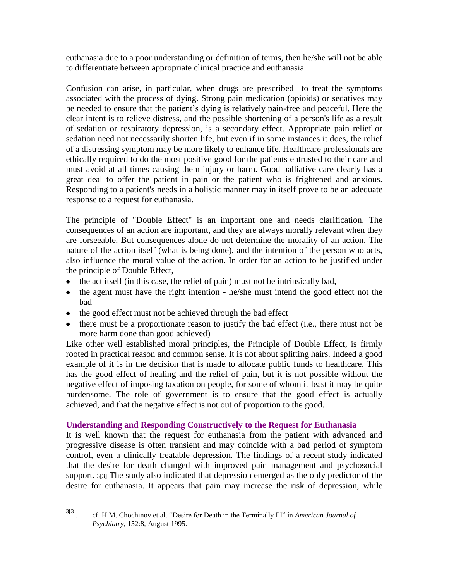euthanasia due to a poor understanding or definition of terms, then he/she will not be able to differentiate between appropriate clinical practice and euthanasia.

Confusion can arise, in particular, when drugs are prescribed to treat the symptoms associated with the process of dying. Strong pain medication (opioids) or sedatives may be needed to ensure that the patient's dying is relatively pain-free and peaceful. Here the clear intent is to relieve distress, and the possible shortening of a person's life as a result of sedation or respiratory depression, is a secondary effect. Appropriate pain relief or sedation need not necessarily shorten life, but even if in some instances it does, the relief of a distressing symptom may be more likely to enhance life. Healthcare professionals are ethically required to do the most positive good for the patients entrusted to their care and must avoid at all times causing them injury or harm. Good palliative care clearly has a great deal to offer the patient in pain or the patient who is frightened and anxious. Responding to a patient's needs in a holistic manner may in itself prove to be an adequate response to a request for euthanasia.

The principle of "Double Effect" is an important one and needs clarification. The consequences of an action are important, and they are always morally relevant when they are forseeable. But consequences alone do not determine the morality of an action. The nature of the action itself (what is being done), and the intention of the person who acts, also influence the moral value of the action. In order for an action to be justified under the principle of Double Effect,

- the act itself (in this case, the relief of pain) must not be intrinsically bad,
- the agent must have the right intention he/she must intend the good effect not the  $\bullet$ bad
- the good effect must not be achieved through the bad effect
- $\bullet$  there must be a proportionate reason to justify the bad effect (i.e., there must not be more harm done than good achieved)

Like other well established moral principles, the Principle of Double Effect, is firmly rooted in practical reason and common sense. It is not about splitting hairs. Indeed a good example of it is in the decision that is made to allocate public funds to healthcare. This has the good effect of healing and the relief of pain, but it is not possible without the negative effect of imposing taxation on people, for some of whom it least it may be quite burdensome. The role of government is to ensure that the good effect is actually achieved, and that the negative effect is not out of proportion to the good.

# **Understanding and Responding Constructively to the Request for Euthanasia**

It is well known that the request for euthanasia from the patient with advanced and progressive disease is often transient and may coincide with a bad period of symptom control, even a clinically treatable depression. The findings of a recent study indicated that the desire for death changed with improved pain management and psychosocial support. 3[3] The study also indicated that depression emerged as the only predictor of the desire for euthanasia. It appears that pain may increase the risk of depression, while

 $\frac{1}{3[3]}$ . cf. H.M. Chochinov et al. "Desire for Death in the Terminally Ill" in *American Journal of Psychiatry*, 152:8, August 1995.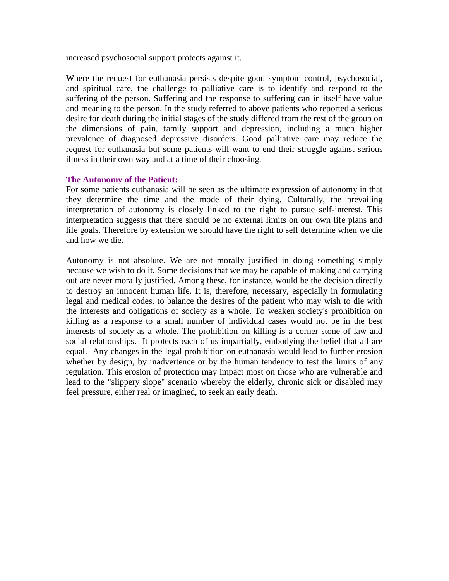increased psychosocial support protects against it.

Where the request for euthanasia persists despite good symptom control, psychosocial, and spiritual care, the challenge to palliative care is to identify and respond to the suffering of the person. Suffering and the response to suffering can in itself have value and meaning to the person. In the study referred to above patients who reported a serious desire for death during the initial stages of the study differed from the rest of the group on the dimensions of pain, family support and depression, including a much higher prevalence of diagnosed depressive disorders. Good palliative care may reduce the request for euthanasia but some patients will want to end their struggle against serious illness in their own way and at a time of their choosing.

## **The Autonomy of the Patient:**

For some patients euthanasia will be seen as the ultimate expression of autonomy in that they determine the time and the mode of their dying. Culturally, the prevailing interpretation of autonomy is closely linked to the right to pursue self-interest. This interpretation suggests that there should be no external limits on our own life plans and life goals. Therefore by extension we should have the right to self determine when we die and how we die.

Autonomy is not absolute. We are not morally justified in doing something simply because we wish to do it. Some decisions that we may be capable of making and carrying out are never morally justified. Among these, for instance, would be the decision directly to destroy an innocent human life. It is, therefore, necessary, especially in formulating legal and medical codes, to balance the desires of the patient who may wish to die with the interests and obligations of society as a whole. To weaken society's prohibition on killing as a response to a small number of individual cases would not be in the best interests of society as a whole. The prohibition on killing is a corner stone of law and social relationships. It protects each of us impartially, embodying the belief that all are equal. Any changes in the legal prohibition on euthanasia would lead to further erosion whether by design, by inadvertence or by the human tendency to test the limits of any regulation. This erosion of protection may impact most on those who are vulnerable and lead to the "slippery slope" scenario whereby the elderly, chronic sick or disabled may feel pressure, either real or imagined, to seek an early death.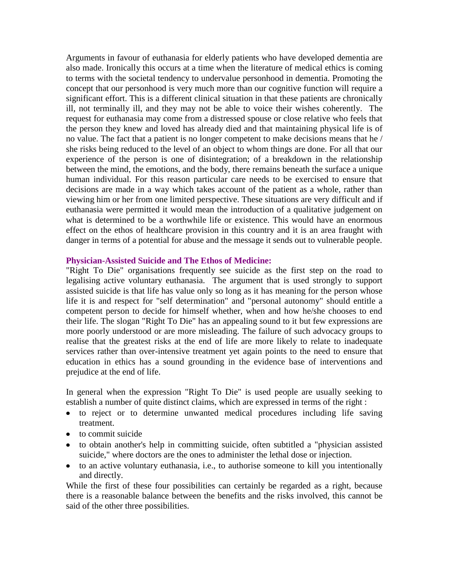Arguments in favour of euthanasia for elderly patients who have developed dementia are also made. Ironically this occurs at a time when the literature of medical ethics is coming to terms with the societal tendency to undervalue personhood in dementia. Promoting the concept that our personhood is very much more than our cognitive function will require a significant effort. This is a different clinical situation in that these patients are chronically ill, not terminally ill, and they may not be able to voice their wishes coherently. The request for euthanasia may come from a distressed spouse or close relative who feels that the person they knew and loved has already died and that maintaining physical life is of no value. The fact that a patient is no longer competent to make decisions means that he / she risks being reduced to the level of an object to whom things are done. For all that our experience of the person is one of disintegration; of a breakdown in the relationship between the mind, the emotions, and the body, there remains beneath the surface a unique human individual. For this reason particular care needs to be exercised to ensure that decisions are made in a way which takes account of the patient as a whole, rather than viewing him or her from one limited perspective. These situations are very difficult and if euthanasia were permitted it would mean the introduction of a qualitative judgement on what is determined to be a worthwhile life or existence. This would have an enormous effect on the ethos of healthcare provision in this country and it is an area fraught with danger in terms of a potential for abuse and the message it sends out to vulnerable people.

#### **Physician-Assisted Suicide and The Ethos of Medicine:**

"Right To Die" organisations frequently see suicide as the first step on the road to legalising active voluntary euthanasia. The argument that is used strongly to support assisted suicide is that life has value only so long as it has meaning for the person whose life it is and respect for "self determination" and "personal autonomy" should entitle a competent person to decide for himself whether, when and how he/she chooses to end their life. The slogan "Right To Die" has an appealing sound to it but few expressions are more poorly understood or are more misleading. The failure of such advocacy groups to realise that the greatest risks at the end of life are more likely to relate to inadequate services rather than over-intensive treatment yet again points to the need to ensure that education in ethics has a sound grounding in the evidence base of interventions and prejudice at the end of life.

In general when the expression "Right To Die" is used people are usually seeking to establish a number of quite distinct claims, which are expressed in terms of the right :

- to reject or to determine unwanted medical procedures including life saving treatment.
- to commit suicide
- to obtain another's help in committing suicide, often subtitled a "physician assisted suicide," where doctors are the ones to administer the lethal dose or injection.
- to an active voluntary euthanasia, i.e., to authorise someone to kill you intentionally and directly.

While the first of these four possibilities can certainly be regarded as a right, because there is a reasonable balance between the benefits and the risks involved, this cannot be said of the other three possibilities.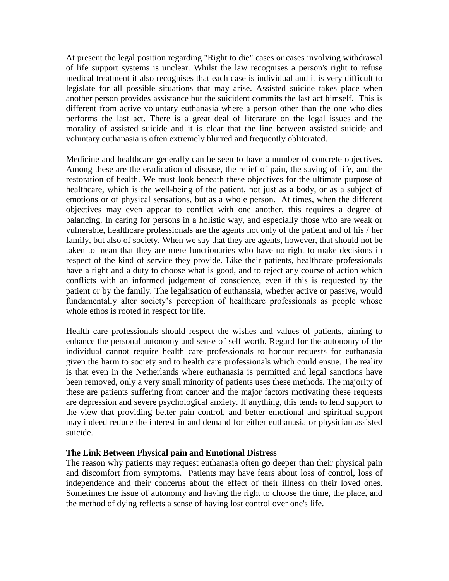At present the legal position regarding "Right to die" cases or cases involving withdrawal of life support systems is unclear. Whilst the law recognises a person's right to refuse medical treatment it also recognises that each case is individual and it is very difficult to legislate for all possible situations that may arise. Assisted suicide takes place when another person provides assistance but the suicident commits the last act himself. This is different from active voluntary euthanasia where a person other than the one who dies performs the last act. There is a great deal of literature on the legal issues and the morality of assisted suicide and it is clear that the line between assisted suicide and voluntary euthanasia is often extremely blurred and frequently obliterated.

Medicine and healthcare generally can be seen to have a number of concrete objectives. Among these are the eradication of disease, the relief of pain, the saving of life, and the restoration of health. We must look beneath these objectives for the ultimate purpose of healthcare, which is the well-being of the patient, not just as a body, or as a subject of emotions or of physical sensations, but as a whole person. At times, when the different objectives may even appear to conflict with one another, this requires a degree of balancing. In caring for persons in a holistic way, and especially those who are weak or vulnerable, healthcare professionals are the agents not only of the patient and of his / her family, but also of society. When we say that they are agents, however, that should not be taken to mean that they are mere functionaries who have no right to make decisions in respect of the kind of service they provide. Like their patients, healthcare professionals have a right and a duty to choose what is good, and to reject any course of action which conflicts with an informed judgement of conscience, even if this is requested by the patient or by the family. The legalisation of euthanasia, whether active or passive, would fundamentally alter society's perception of healthcare professionals as people whose whole ethos is rooted in respect for life.

Health care professionals should respect the wishes and values of patients, aiming to enhance the personal autonomy and sense of self worth. Regard for the autonomy of the individual cannot require health care professionals to honour requests for euthanasia given the harm to society and to health care professionals which could ensue. The reality is that even in the Netherlands where euthanasia is permitted and legal sanctions have been removed, only a very small minority of patients uses these methods. The majority of these are patients suffering from cancer and the major factors motivating these requests are depression and severe psychological anxiety. If anything, this tends to lend support to the view that providing better pain control, and better emotional and spiritual support may indeed reduce the interest in and demand for either euthanasia or physician assisted suicide.

# **The Link Between Physical pain and Emotional Distress**

The reason why patients may request euthanasia often go deeper than their physical pain and discomfort from symptoms. Patients may have fears about loss of control, loss of independence and their concerns about the effect of their illness on their loved ones. Sometimes the issue of autonomy and having the right to choose the time, the place, and the method of dying reflects a sense of having lost control over one's life.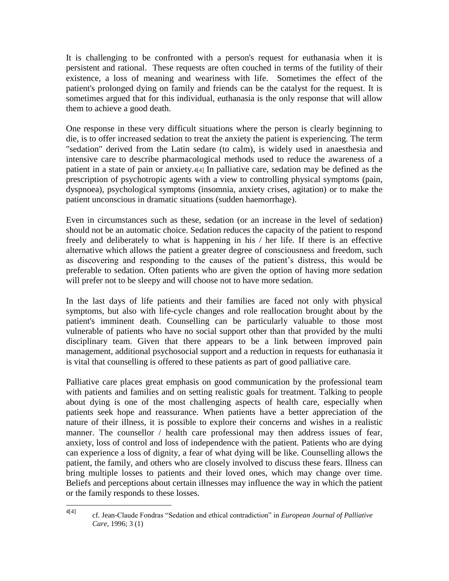It is challenging to be confronted with a person's request for euthanasia when it is persistent and rational. These requests are often couched in terms of the futility of their existence, a loss of meaning and weariness with life. Sometimes the effect of the patient's prolonged dying on family and friends can be the catalyst for the request. It is sometimes argued that for this individual, euthanasia is the only response that will allow them to achieve a good death.

One response in these very difficult situations where the person is clearly beginning to die, is to offer increased sedation to treat the anxiety the patient is experiencing. The term "sedation" derived from the Latin sedare (to calm), is widely used in anaesthesia and intensive care to describe pharmacological methods used to reduce the awareness of a patient in a state of pain or anxiety.4[4] In palliative care, sedation may be defined as the prescription of psychotropic agents with a view to controlling physical symptoms (pain, dyspnoea), psychological symptoms (insomnia, anxiety crises, agitation) or to make the patient unconscious in dramatic situations (sudden haemorrhage).

Even in circumstances such as these, sedation (or an increase in the level of sedation) should not be an automatic choice. Sedation reduces the capacity of the patient to respond freely and deliberately to what is happening in his / her life. If there is an effective alternative which allows the patient a greater degree of consciousness and freedom, such as discovering and responding to the causes of the patient's distress, this would be preferable to sedation. Often patients who are given the option of having more sedation will prefer not to be sleepy and will choose not to have more sedation.

In the last days of life patients and their families are faced not only with physical symptoms, but also with life-cycle changes and role reallocation brought about by the patient's imminent death. Counselling can be particularly valuable to those most vulnerable of patients who have no social support other than that provided by the multi disciplinary team. Given that there appears to be a link between improved pain management, additional psychosocial support and a reduction in requests for euthanasia it is vital that counselling is offered to these patients as part of good palliative care.

Palliative care places great emphasis on good communication by the professional team with patients and families and on setting realistic goals for treatment. Talking to people about dying is one of the most challenging aspects of health care, especially when patients seek hope and reassurance. When patients have a better appreciation of the nature of their illness, it is possible to explore their concerns and wishes in a realistic manner. The counsellor / health care professional may then address issues of fear, anxiety, loss of control and loss of independence with the patient. Patients who are dying can experience a loss of dignity, a fear of what dying will be like. Counselling allows the patient, the family, and others who are closely involved to discuss these fears. Illness can bring multiple losses to patients and their loved ones, which may change over time. Beliefs and perceptions about certain illnesses may influence the way in which the patient or the family responds to these losses.

 $4[4]$ 

<sup>4[4]</sup> cf. Jean-Claude Fondras "Sedation and ethical contradiction" in *European Journal of Palliative Care*, 1996; 3 (1)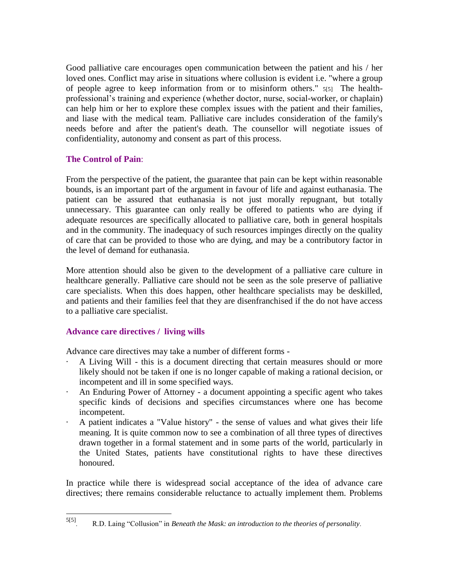Good palliative care encourages open communication between the patient and his / her loved ones. Conflict may arise in situations where collusion is evident i.e. "where a group of people agree to keep information from or to misinform others." 5[5] The healthprofessional's training and experience (whether doctor, nurse, social-worker, or chaplain) can help him or her to explore these complex issues with the patient and their families, and liase with the medical team. Palliative care includes consideration of the family's needs before and after the patient's death. The counsellor will negotiate issues of confidentiality, autonomy and consent as part of this process.

# **The Control of Pain**:

From the perspective of the patient, the guarantee that pain can be kept within reasonable bounds, is an important part of the argument in favour of life and against euthanasia. The patient can be assured that euthanasia is not just morally repugnant, but totally unnecessary. This guarantee can only really be offered to patients who are dying if adequate resources are specifically allocated to palliative care, both in general hospitals and in the community. The inadequacy of such resources impinges directly on the quality of care that can be provided to those who are dying, and may be a contributory factor in the level of demand for euthanasia.

More attention should also be given to the development of a palliative care culture in healthcare generally. Palliative care should not be seen as the sole preserve of palliative care specialists. When this does happen, other healthcare specialists may be deskilled, and patients and their families feel that they are disenfranchised if the do not have access to a palliative care specialist.

# **Advance care directives / living wills**

 $\overline{a}$ 

Advance care directives may take a number of different forms -

- · A Living Will this is a document directing that certain measures should or more likely should not be taken if one is no longer capable of making a rational decision, or incompetent and ill in some specified ways.
- · An Enduring Power of Attorney a document appointing a specific agent who takes specific kinds of decisions and specifies circumstances where one has become incompetent.
- · A patient indicates a "Value history" the sense of values and what gives their life meaning. It is quite common now to see a combination of all three types of directives drawn together in a formal statement and in some parts of the world, particularly in the United States, patients have constitutional rights to have these directives honoured.

In practice while there is widespread social acceptance of the idea of advance care directives; there remains considerable reluctance to actually implement them. Problems

<sup>5[5]</sup> . R.D. Laing "Collusion" in *Beneath the Mask: an introduction to the theories of personality*.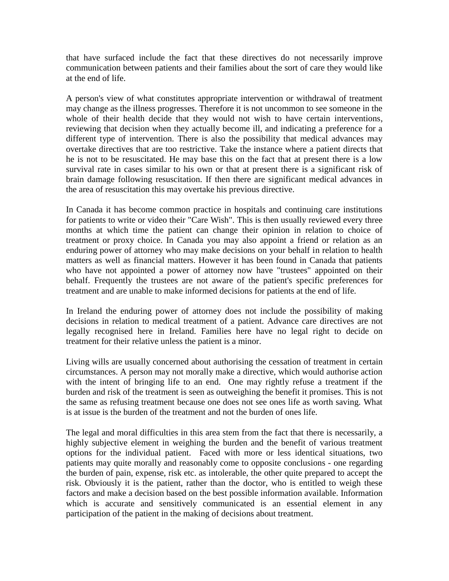that have surfaced include the fact that these directives do not necessarily improve communication between patients and their families about the sort of care they would like at the end of life.

A person's view of what constitutes appropriate intervention or withdrawal of treatment may change as the illness progresses. Therefore it is not uncommon to see someone in the whole of their health decide that they would not wish to have certain interventions, reviewing that decision when they actually become ill, and indicating a preference for a different type of intervention. There is also the possibility that medical advances may overtake directives that are too restrictive. Take the instance where a patient directs that he is not to be resuscitated. He may base this on the fact that at present there is a low survival rate in cases similar to his own or that at present there is a significant risk of brain damage following resuscitation. If then there are significant medical advances in the area of resuscitation this may overtake his previous directive.

In Canada it has become common practice in hospitals and continuing care institutions for patients to write or video their "Care Wish". This is then usually reviewed every three months at which time the patient can change their opinion in relation to choice of treatment or proxy choice. In Canada you may also appoint a friend or relation as an enduring power of attorney who may make decisions on your behalf in relation to health matters as well as financial matters. However it has been found in Canada that patients who have not appointed a power of attorney now have "trustees" appointed on their behalf. Frequently the trustees are not aware of the patient's specific preferences for treatment and are unable to make informed decisions for patients at the end of life.

In Ireland the enduring power of attorney does not include the possibility of making decisions in relation to medical treatment of a patient. Advance care directives are not legally recognised here in Ireland. Families here have no legal right to decide on treatment for their relative unless the patient is a minor.

Living wills are usually concerned about authorising the cessation of treatment in certain circumstances. A person may not morally make a directive, which would authorise action with the intent of bringing life to an end. One may rightly refuse a treatment if the burden and risk of the treatment is seen as outweighing the benefit it promises. This is not the same as refusing treatment because one does not see ones life as worth saving. What is at issue is the burden of the treatment and not the burden of ones life.

The legal and moral difficulties in this area stem from the fact that there is necessarily, a highly subjective element in weighing the burden and the benefit of various treatment options for the individual patient. Faced with more or less identical situations, two patients may quite morally and reasonably come to opposite conclusions - one regarding the burden of pain, expense, risk etc. as intolerable, the other quite prepared to accept the risk. Obviously it is the patient, rather than the doctor, who is entitled to weigh these factors and make a decision based on the best possible information available. Information which is accurate and sensitively communicated is an essential element in any participation of the patient in the making of decisions about treatment.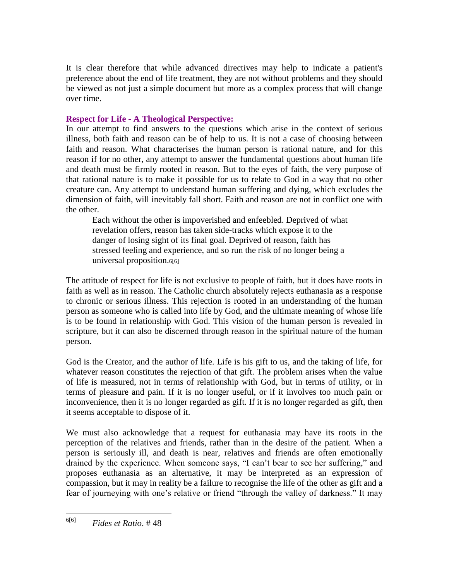It is clear therefore that while advanced directives may help to indicate a patient's preference about the end of life treatment, they are not without problems and they should be viewed as not just a simple document but more as a complex process that will change over time.

# **Respect for Life - A Theological Perspective:**

In our attempt to find answers to the questions which arise in the context of serious illness, both faith and reason can be of help to us. It is not a case of choosing between faith and reason. What characterises the human person is rational nature, and for this reason if for no other, any attempt to answer the fundamental questions about human life and death must be firmly rooted in reason. But to the eyes of faith, the very purpose of that rational nature is to make it possible for us to relate to God in a way that no other creature can. Any attempt to understand human suffering and dying, which excludes the dimension of faith, will inevitably fall short. Faith and reason are not in conflict one with the other.

Each without the other is impoverished and enfeebled. Deprived of what revelation offers, reason has taken side-tracks which expose it to the danger of losing sight of its final goal. Deprived of reason, faith has stressed feeling and experience, and so run the risk of no longer being a universal proposition.6[6]

The attitude of respect for life is not exclusive to people of faith, but it does have roots in faith as well as in reason. The Catholic church absolutely rejects euthanasia as a response to chronic or serious illness. This rejection is rooted in an understanding of the human person as someone who is called into life by God, and the ultimate meaning of whose life is to be found in relationship with God. This vision of the human person is revealed in scripture, but it can also be discerned through reason in the spiritual nature of the human person.

God is the Creator, and the author of life. Life is his gift to us, and the taking of life, for whatever reason constitutes the rejection of that gift. The problem arises when the value of life is measured, not in terms of relationship with God, but in terms of utility, or in terms of pleasure and pain. If it is no longer useful, or if it involves too much pain or inconvenience, then it is no longer regarded as gift. If it is no longer regarded as gift, then it seems acceptable to dispose of it.

We must also acknowledge that a request for euthanasia may have its roots in the perception of the relatives and friends, rather than in the desire of the patient. When a person is seriously ill, and death is near, relatives and friends are often emotionally drained by the experience. When someone says, "I can't bear to see her suffering," and proposes euthanasia as an alternative, it may be interpreted as an expression of compassion, but it may in reality be a failure to recognise the life of the other as gift and a fear of journeying with one's relative or friend "through the valley of darkness." It may

 $6[6]$ 6[6] *Fides et Ratio*. # 48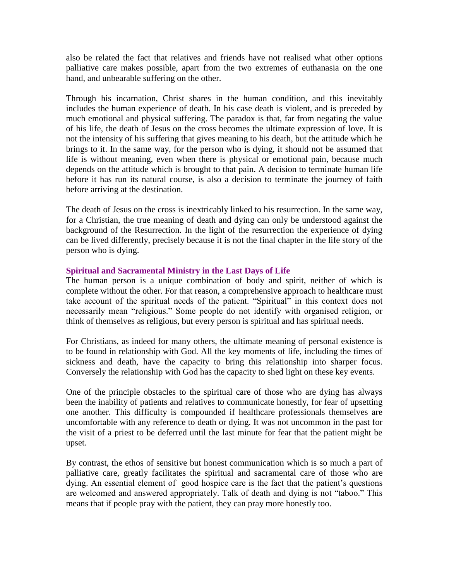also be related the fact that relatives and friends have not realised what other options palliative care makes possible, apart from the two extremes of euthanasia on the one hand, and unbearable suffering on the other.

Through his incarnation, Christ shares in the human condition, and this inevitably includes the human experience of death. In his case death is violent, and is preceded by much emotional and physical suffering. The paradox is that, far from negating the value of his life, the death of Jesus on the cross becomes the ultimate expression of love. It is not the intensity of his suffering that gives meaning to his death, but the attitude which he brings to it. In the same way, for the person who is dying, it should not be assumed that life is without meaning, even when there is physical or emotional pain, because much depends on the attitude which is brought to that pain. A decision to terminate human life before it has run its natural course, is also a decision to terminate the journey of faith before arriving at the destination.

The death of Jesus on the cross is inextricably linked to his resurrection. In the same way, for a Christian, the true meaning of death and dying can only be understood against the background of the Resurrection. In the light of the resurrection the experience of dying can be lived differently, precisely because it is not the final chapter in the life story of the person who is dying.

## **Spiritual and Sacramental Ministry in the Last Days of Life**

The human person is a unique combination of body and spirit, neither of which is complete without the other. For that reason, a comprehensive approach to healthcare must take account of the spiritual needs of the patient. "Spiritual" in this context does not necessarily mean "religious." Some people do not identify with organised religion, or think of themselves as religious, but every person is spiritual and has spiritual needs.

For Christians, as indeed for many others, the ultimate meaning of personal existence is to be found in relationship with God. All the key moments of life, including the times of sickness and death, have the capacity to bring this relationship into sharper focus. Conversely the relationship with God has the capacity to shed light on these key events.

One of the principle obstacles to the spiritual care of those who are dying has always been the inability of patients and relatives to communicate honestly, for fear of upsetting one another. This difficulty is compounded if healthcare professionals themselves are uncomfortable with any reference to death or dying. It was not uncommon in the past for the visit of a priest to be deferred until the last minute for fear that the patient might be upset.

By contrast, the ethos of sensitive but honest communication which is so much a part of palliative care, greatly facilitates the spiritual and sacramental care of those who are dying. An essential element of good hospice care is the fact that the patient's questions are welcomed and answered appropriately. Talk of death and dying is not "taboo." This means that if people pray with the patient, they can pray more honestly too.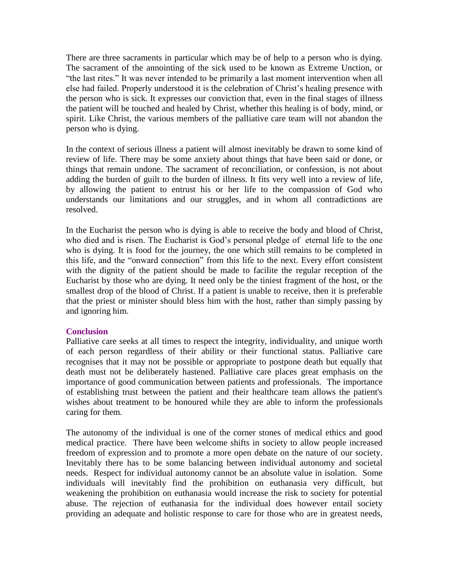There are three sacraments in particular which may be of help to a person who is dying. The sacrament of the annointing of the sick used to be known as Extreme Unction, or "the last rites." It was never intended to be primarily a last moment intervention when all else had failed. Properly understood it is the celebration of Christ's healing presence with the person who is sick. It expresses our conviction that, even in the final stages of illness the patient will be touched and healed by Christ, whether this healing is of body, mind, or spirit. Like Christ, the various members of the palliative care team will not abandon the person who is dying.

In the context of serious illness a patient will almost inevitably be drawn to some kind of review of life. There may be some anxiety about things that have been said or done, or things that remain undone. The sacrament of reconciliation, or confession, is not about adding the burden of guilt to the burden of illness. It fits very well into a review of life, by allowing the patient to entrust his or her life to the compassion of God who understands our limitations and our struggles, and in whom all contradictions are resolved.

In the Eucharist the person who is dying is able to receive the body and blood of Christ, who died and is risen. The Eucharist is God's personal pledge of eternal life to the one who is dying. It is food for the journey, the one which still remains to be completed in this life, and the "onward connection" from this life to the next. Every effort consistent with the dignity of the patient should be made to facilite the regular reception of the Eucharist by those who are dying. It need only be the tiniest fragment of the host, or the smallest drop of the blood of Christ. If a patient is unable to receive, then it is preferable that the priest or minister should bless him with the host, rather than simply passing by and ignoring him.

## **Conclusion**

Palliative care seeks at all times to respect the integrity, individuality, and unique worth of each person regardless of their ability or their functional status. Palliative care recognises that it may not be possible or appropriate to postpone death but equally that death must not be deliberately hastened. Palliative care places great emphasis on the importance of good communication between patients and professionals. The importance of establishing trust between the patient and their healthcare team allows the patient's wishes about treatment to be honoured while they are able to inform the professionals caring for them.

The autonomy of the individual is one of the corner stones of medical ethics and good medical practice. There have been welcome shifts in society to allow people increased freedom of expression and to promote a more open debate on the nature of our society. Inevitably there has to be some balancing between individual autonomy and societal needs. Respect for individual autonomy cannot be an absolute value in isolation. Some individuals will inevitably find the prohibition on euthanasia very difficult, but weakening the prohibition on euthanasia would increase the risk to society for potential abuse. The rejection of euthanasia for the individual does however entail society providing an adequate and holistic response to care for those who are in greatest needs,